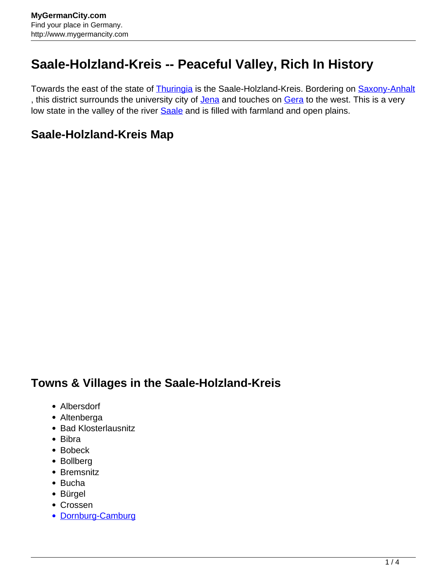## **Saale-Holzland-Kreis -- Peaceful Valley, Rich In History**

Towards the east of the state of [Thuringia](http://www.mygermancity.com/thuringia) is the Saale-Holzland-Kreis. Bordering on [Saxony-Anhalt](http://www.mygermancity.com/saxony-anhalt) , this district surrounds the university city of [Jena](http://www.mygermancity.com/jena) and touches on [Gera](http://www.mygermancity.com/gera) to the west. This is a very low state in the valley of the river **Saale** and is filled with farmland and open plains.

## **Saale-Holzland-Kreis Map**

## **Towns & Villages in the Saale-Holzland-Kreis**

- Albersdorf
- Altenberga
- Bad Klosterlausnitz
- Bibra
- Bobeck
- Bollberg
- Bremsnitz
- Bucha
- Bürgel
- Crossen
- [Dornburg-Camburg](http://www.mygermancity.com/dornburg-camburg)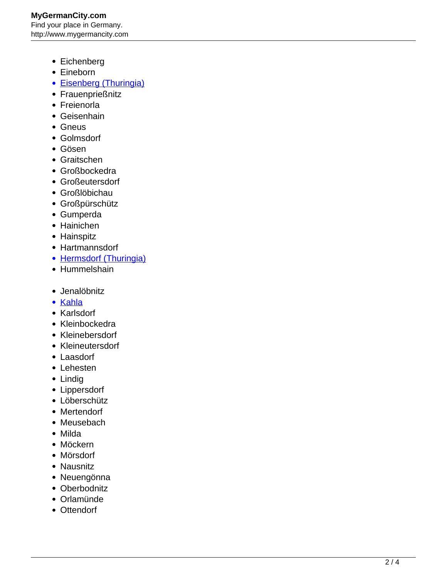**MyGermanCity.com** Find your place in Germany. http://www.mygermancity.com

- Eichenberg
- Eineborn
- [Eisenberg \(Thuringia\)](http://www.mygermancity.com/eisenberg-thuringia)
- Frauenprießnitz
- Freienorla
- Geisenhain
- Gneus
- Golmsdorf
- Gösen
- Graitschen
- Großbockedra
- Großeutersdorf
- Großlöbichau
- Großpürschütz
- Gumperda
- Hainichen
- Hainspitz
- Hartmannsdorf
- [Hermsdorf \(Thuringia\)](http://www.mygermancity.com/hermsdorf-thuringia)
- Hummelshain
- Jenalöbnitz
- [Kahla](http://www.mygermancity.com/kahla)
- Karlsdorf
- Kleinbockedra
- Kleinebersdorf
- Kleineutersdorf
- Laasdorf
- Lehesten
- Lindig
- Lippersdorf
- Löberschütz
- Mertendorf
- Meusebach
- Milda
- Möckern
- Mörsdorf
- Nausnitz
- Neuengönna
- Oberbodnitz
- Orlamünde
- Ottendorf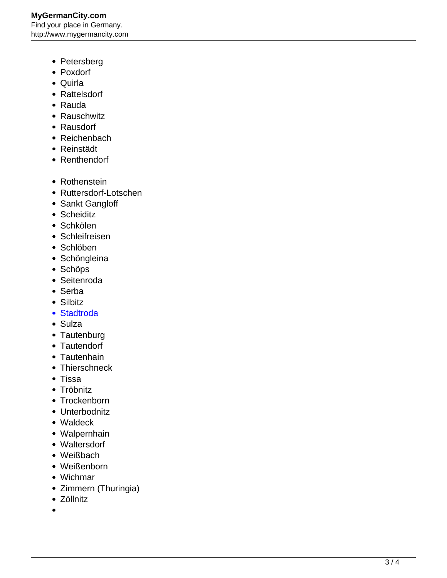- Petersberg
- Poxdorf
- Quirla
- Rattelsdorf
- Rauda
- Rauschwitz
- Rausdorf
- Reichenbach
- Reinstädt
- Renthendorf
- Rothenstein
- Ruttersdorf-Lotschen
- Sankt Gangloff
- Scheiditz
- Schkölen
- Schleifreisen
- Schlöben
- Schöngleina
- Schöps
- Seitenroda
- Serba
- Silbitz
- [Stadtroda](http://www.mygermancity.com/stadtroda)
- Sulza
- Tautenburg
- Tautendorf
- Tautenhain
- Thierschneck
- Tissa
- Tröbnitz
- Trockenborn
- Unterbodnitz
- Waldeck
- Walpernhain
- Waltersdorf
- Weißbach
- Weißenborn
- Wichmar
- Zimmern (Thuringia)
- Zöllnitz
- $\bullet$